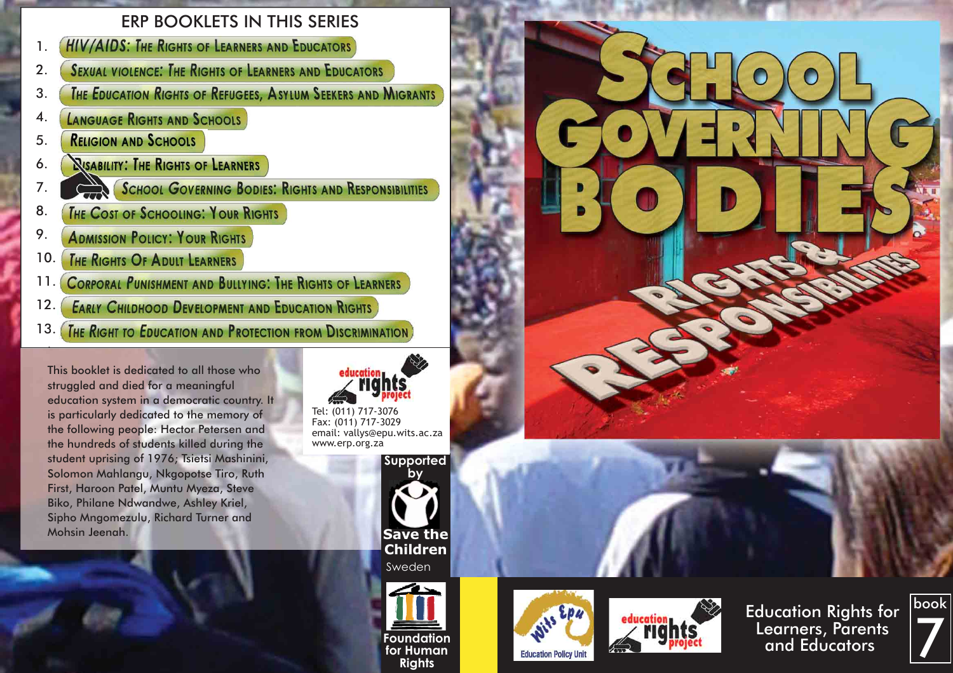# ERP BOOKLETS IN THIS SERIES

- **HIV/AIDS: THE RIGHTS OF LEARNERS AND EDUCATORS** 1.
- **SEXUAL VIOLENCE: THE RIGHTS OF LEARNERS AND EDUCATORS** 2.
- **THE EDUCATION RIGHTS OF REFUGEES, ASYLUM SEEKERS AND MIGRANTS** 3.
- **LANGUAGE RIGHTS AND SCHOOLS** 4.
- **RELIGION AND SCHOOLS** 5.
- *<u><b>NISABILITY: THE RIGHTS OF LEARNERS</u>* 6.
- **SCHOOL GOVERNING BODIES: RIGHTS AND RESPONSIBILITIES** 7.
- THE COST OF SCHOOLING: YOUR RIGHTS 8.
- 9. **ADMISSION POLICY: YOUR RIGHTS**
- THE RIGHTS OF ADULT LEARNERS 10.

.

- **CORPORAL PUNISHMENT AND BULLYING: THE RIGHTS OF LEARNERS** 11.
- **EARLY CHILDHOOD DEVELOPMENT AND EDUCATION RIGHTS** 12.
- **THE RIGHT TO EDUCATION AND PROTECTION FROM DISCRIMINATION** 13.

This booklet is dedicated to all those who struggled and died for a meaningful education system in a democratic country. It is particularly dedicated to the memory of the following people: Hector Petersen and the hundreds of students killed during the student uprising of 1976; Tsietsi Mashinini, Solomon Mahlangu, Nkgopotse Tiro, Ruth First, Haroon Patel, Muntu Myeza, Steve Biko, Philane Ndwandwe, Ashley Kriel, Sipho Mngomezulu, Richard Turner and Mohsin Jeenah.



Tel: (011) 717-3076 Fax: (011) 717-3029 email: vallys@epu.wits.ac.za www.erp.org.za





**Foundation for Human Rights**





Education Rights for Learners, Parents and Educators



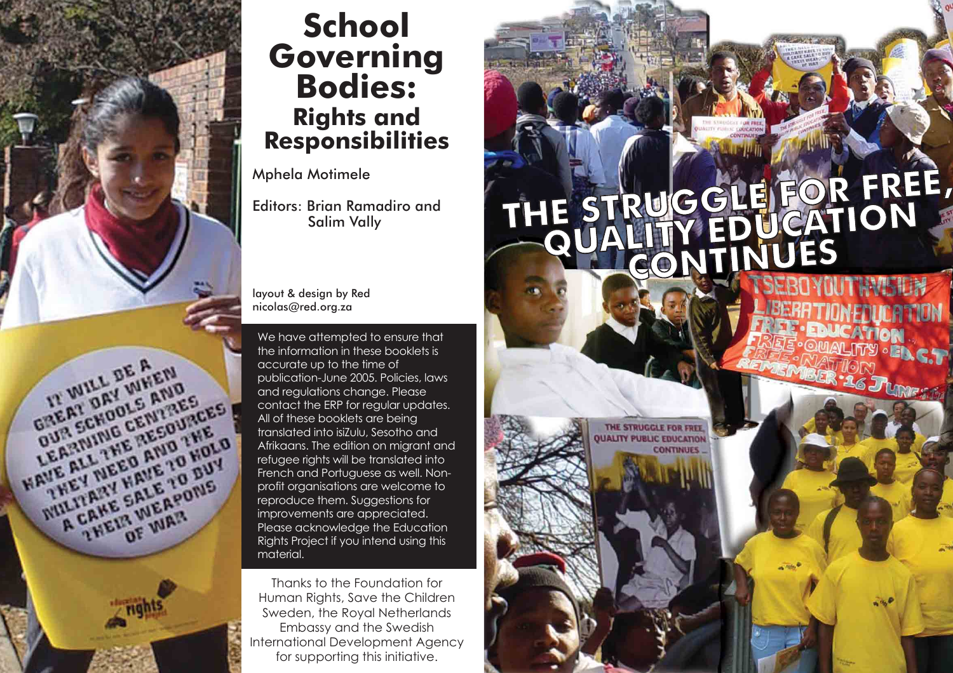

# **School Governing Bodies: Rights and Responsibilities**

# Mphela Motimele

Editors: Brian Ramadiro and Salim Vally

layout & design by Red nicolas@red.org.za

We have attempted to ensure that the information in these booklets is accurate up to the time of publication-June 2005. Policies, laws and regulations change. Please contact the ERP for regular updates. All of these booklets are being translated into isiZulu, Sesotho and Afrikaans. The edition on migrant and refugee rights will be translated into French and Portuguese as well. Nonprofit organisations are welcome to reproduce them. Suggestions for improvements are appreciated. Please acknowledge the Education Rights Project if you intend using this material.

Thanks to the Foundation for Human Rights, Save the Children Sweden, the Royal Netherlands Embassy and the Swedish International Development Agency for supporting this initiative.

# THE STRUGGLE FOR FREE,

THE STRUGGLE FOR FREE **JALITY PUBLIC EDUCATION** 

**CONTINUES**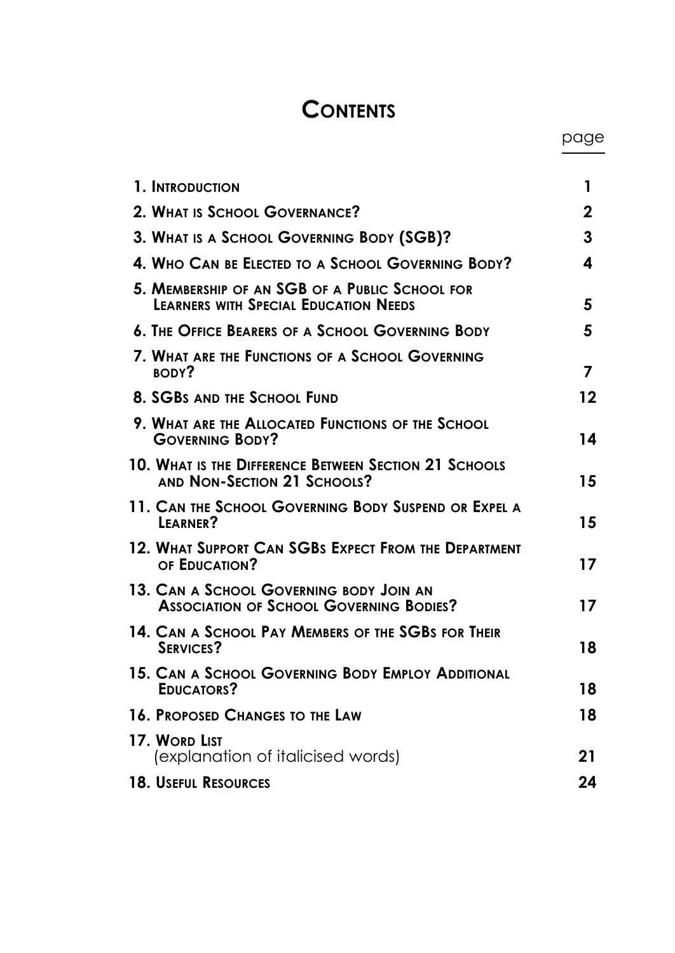# **CONTENTS**

| 1. INTRODUCTION                                                                                | 1           |
|------------------------------------------------------------------------------------------------|-------------|
| 2. WHAT IS SCHOOL GOVERNANCE?                                                                  | $\mathbf 2$ |
| 3. What is a School Governing Body (SGB)?                                                      | 3           |
| 4. Who CAN BE ELECTED TO A SCHOOL GOVERNING BODY?                                              | 4           |
| 5. MEMBERSHIP OF AN SGB OF A PUBLIC SCHOOL FOR<br><b>LEARNERS WITH SPECIAL EDUCATION NEEDS</b> | 5           |
| <b>6. THE OFFICE BEARERS OF A SCHOOL GOVERNING BODY</b>                                        | 5           |
| 7. What are the Functions of a School Governing<br>BODY?                                       | 7           |
| <b>8. SGBS AND THE SCHOOL FUND</b>                                                             | 12          |
| 9. WHAT ARE THE ALLOCATED FUNCTIONS OF THE SCHOOL<br><b>GOVERNING BODY?</b>                    | 14          |
| 10. What is the Difference Between Section 21 Schools<br>AND NON-SECTION 21 SCHOOLS?           | 15          |
| 11. CAN THE SCHOOL GOVERNING BODY SUSPEND OR EXPEL A<br>LEARNER?                               | 15          |
| 12. WHAT SUPPORT CAN SGBS EXPECT FROM THE DEPARTMENT<br>OF EDUCATION?                          | 17          |
| 13. CAN A SCHOOL GOVERNING BODY JOIN AN<br><b>ASSOCIATION OF SCHOOL GOVERNING BODIES?</b>      | 17          |
| 14. CAN A SCHOOL PAY MEMBERS OF THE SGBS FOR THEIR<br><b>SERVICES?</b>                         | 18          |
| 15. CAN A SCHOOL GOVERNING BODY EMPLOY ADDITIONAL<br>EDUCATORS?                                | 18          |
| <b>16. PROPOSED CHANGES TO THE LAW</b>                                                         | 18          |
| 17. WORD LIST<br>(explanation of italicised words)                                             | 21          |
| <b>18. USEFUL RESOURCES</b>                                                                    | 24          |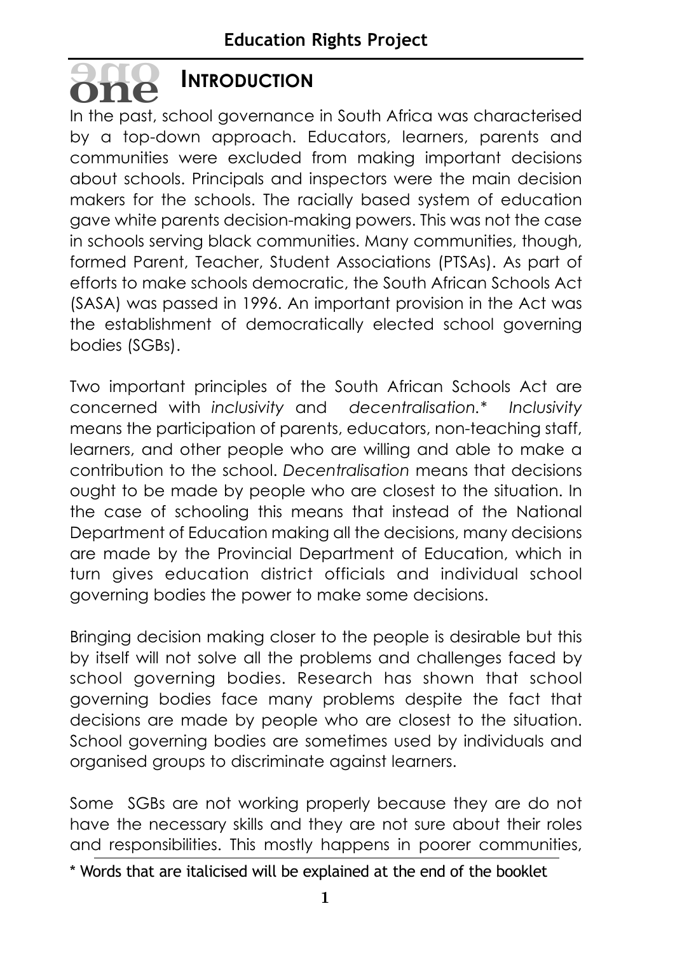# **INTRODUCTION oneone**

In the past, school governance in South Africa was characterised by a top-down approach. Educators, learners, parents and communities were excluded from making important decisions about schools. Principals and inspectors were the main decision makers for the schools. The racially based system of education gave white parents decision-making powers. This was not the case in schools serving black communities. Many communities, though, formed Parent, Teacher, Student Associations (PTSAs). As part of efforts to make schools democratic, the South African Schools Act (SASA) was passed in 1996. An important provision in the Act was the establishment of democratically elected school governing bodies (SGBs).

Two important principles of the South African Schools Act are concerned with *inclusivity* and *decentralisation.\* Inclusivity* means the participation of parents, educators, non-teaching staff, learners, and other people who are willing and able to make a contribution to the school. *Decentralisation* means that decisions ought to be made by people who are closest to the situation. In the case of schooling this means that instead of the National Department of Education making all the decisions, many decisions are made by the Provincial Department of Education, which in turn gives education district officials and individual school governing bodies the power to make some decisions.

Bringing decision making closer to the people is desirable but this by itself will not solve all the problems and challenges faced by school governing bodies. Research has shown that school governing bodies face many problems despite the fact that decisions are made by people who are closest to the situation. School governing bodies are sometimes used by individuals and organised groups to discriminate against learners.

Some SGBs are not working properly because they are do not have the necessary skills and they are not sure about their roles and responsibilities. This mostly happens in poorer communities,

<sup>\*</sup> Words that are italicised will be explained at the end of the booklet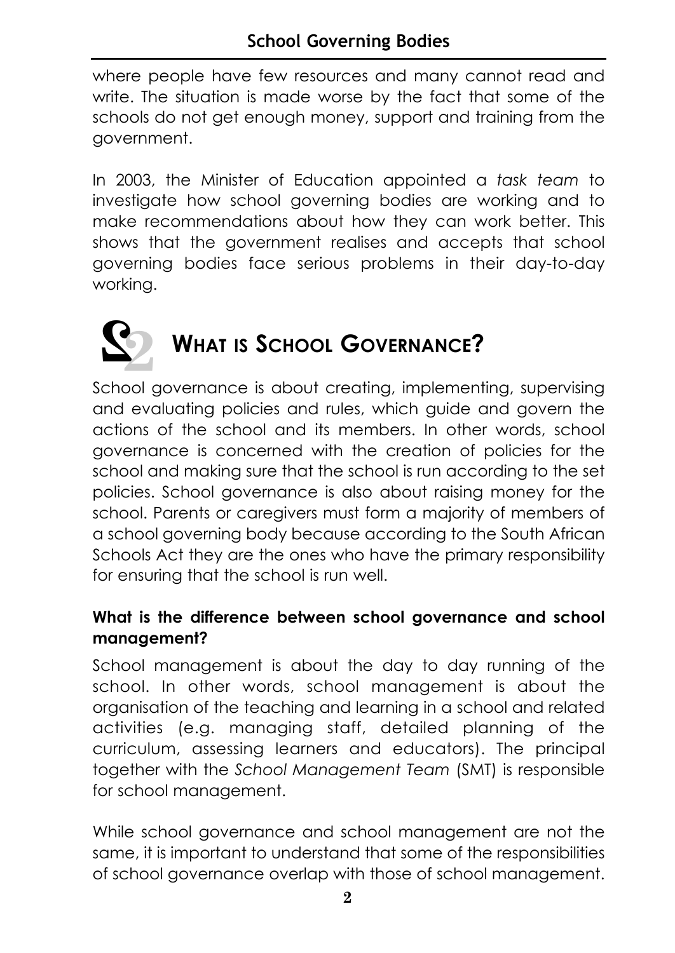where people have few resources and many cannot read and write. The situation is made worse by the fact that some of the schools do not get enough money, support and training from the government.

In 2003, the Minister of Education appointed a *task team* to investigate how school governing bodies are working and to make recommendations about how they can work better. This shows that the government realises and accepts that school governing bodies face serious problems in their day-to-day working.



# **WHAT IS SCHOOL GOVERNANCE?**

School governance is about creating, implementing, supervising and evaluating policies and rules, which guide and govern the actions of the school and its members. In other words, school governance is concerned with the creation of policies for the school and making sure that the school is run according to the set policies. School governance is also about raising money for the school. Parents or caregivers must form a majority of members of a school governing body because according to the South African Schools Act they are the ones who have the primary responsibility for ensuring that the school is run well.

# **What is the difference between school governance and school management?**

School management is about the day to day running of the school. In other words, school management is about the organisation of the teaching and learning in a school and related activities (e.g. managing staff, detailed planning of the curriculum, assessing learners and educators). The principal together with the *School Management Team* (SMT) is responsible for school management.

While school governance and school management are not the same, it is important to understand that some of the responsibilities of school governance overlap with those of school management.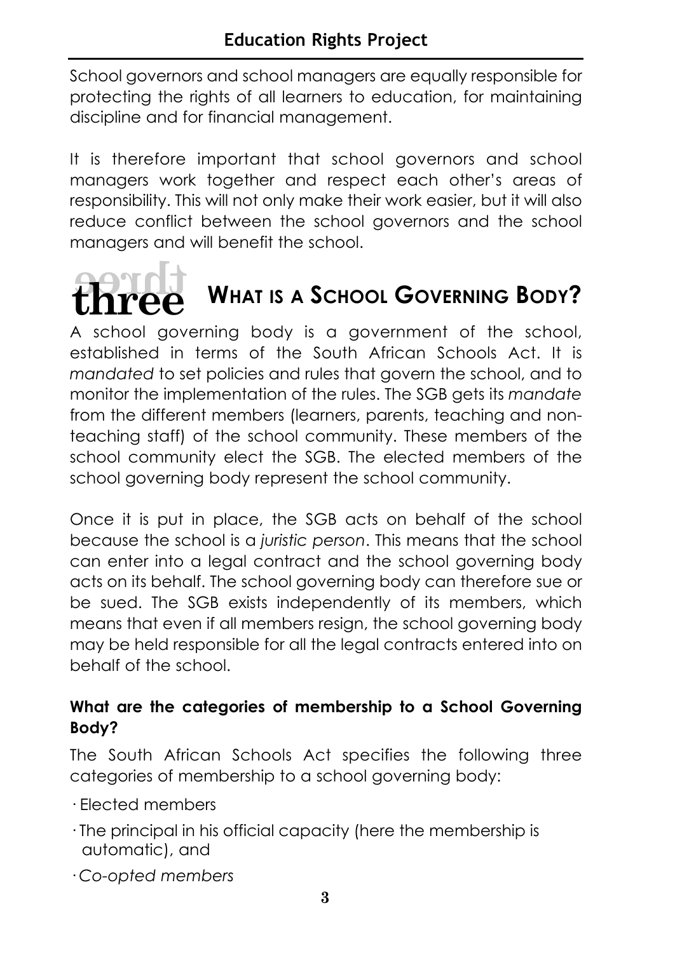School governors and school managers are equally responsible for protecting the rights of all learners to education, for maintaining discipline and for financial management.

It is therefore important that school governors and school managers work together and respect each other's areas of responsibility. This will not only make their work easier, but it will also reduce conflict between the school governors and the school managers and will benefit the school.



# **WHAT IS A SCHOOL GOVERNING BODY?**

A school governing body is a government of the school, established in terms of the South African Schools Act. It is *mandated* to set policies and rules that govern the school, and to monitor the implementation of the rules. The SGB gets its *mandate* from the different members (learners, parents, teaching and nonteaching staff) of the school community. These members of the school community elect the SGB. The elected members of the school governing body represent the school community.

Once it is put in place, the SGB acts on behalf of the school because the school is a *juristic person*. This means that the school can enter into a legal contract and the school governing body acts on its behalf. The school governing body can therefore sue or be sued. The SGB exists independently of its members, which means that even if all members resign, the school governing body may be held responsible for all the legal contracts entered into on behalf of the school.

# **What are the categories of membership to a School Governing Body?**

The South African Schools Act specifies the following three categories of membership to a school governing body:

- · Elected members
- · The principal in his official capacity (here the membership is automatic), and
- · *Co-opted members*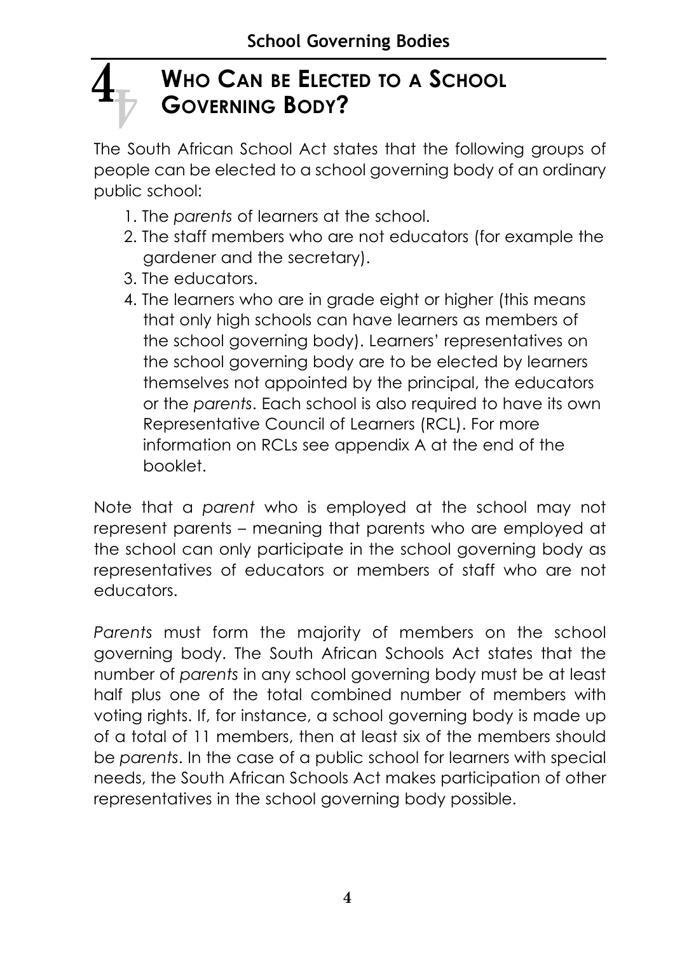# **WHO CAN BE ELECTED TO A SCHOOL GOVERNING BODY?**  $\mathbf{4}_{\bar{\nu}}$

The South African School Act states that the following groups of people can be elected to a school governing body of an ordinary public school:

- 1. The *parents* of learners at the school.
- 2. The staff members who are not educators (for example the gardener and the secretary).
- 3. The educators.
- 4. The learners who are in grade eight or higher (this means that only high schools can have learners as members of the school governing body). Learners' representatives on the school governing body are to be elected by learners themselves not appointed by the principal, the educators or the *parents*. Each school is also required to have its own Representative Council of Learners (RCL). For more information on RCLs see appendix A at the end of the booklet.

Note that a *parent* who is employed at the school may not represent parents – meaning that parents who are employed at the school can only participate in the school governing body as representatives of educators or members of staff who are not educators.

*Parents* must form the majority of members on the school governing body. The South African Schools Act states that the number of *parents* in any school governing body must be at least half plus one of the total combined number of members with voting rights. If, for instance, a school governing body is made up of a total of 11 members, then at least six of the members should be *parents*. In the case of a public school for learners with special needs, the South African Schools Act makes participation of other representatives in the school governing body possible.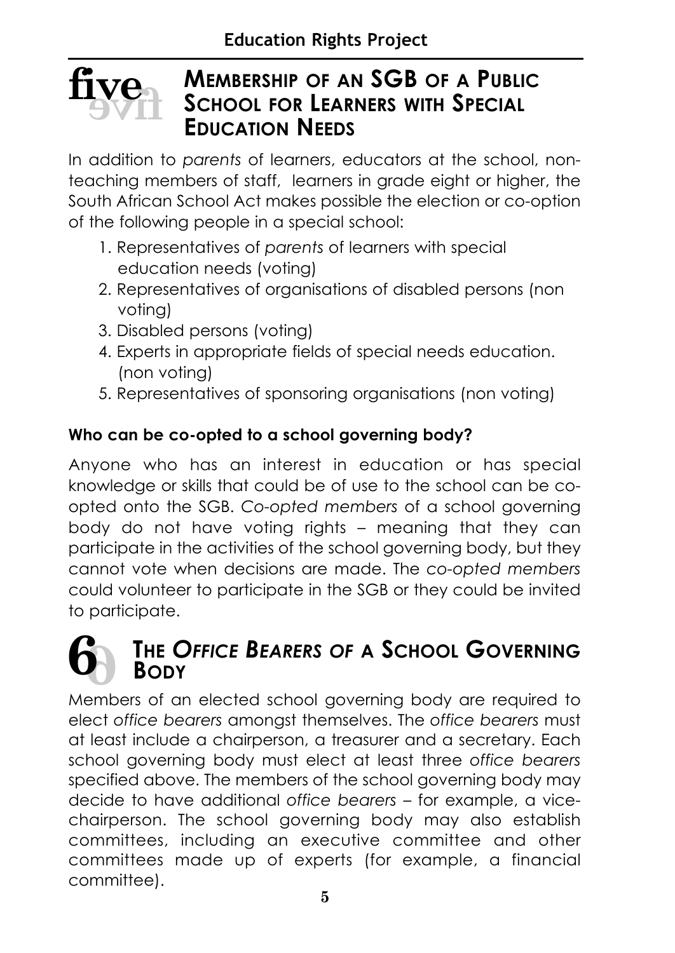

# **MEMBERSHIP OF AN SGB OF A PUBLIC SCHOOL FOR LEARNERS WITH SPECIAL EDUCATION NEEDS**

In addition to *parents* of learners, educators at the school, nonteaching members of staff, learners in grade eight or higher, the South African School Act makes possible the election or co-option of the following people in a special school:

- 1. Representatives of *parents* of learners with special education needs (voting)
- 2. Representatives of organisations of disabled persons (non voting)
- 3. Disabled persons (voting)
- 4. Experts in appropriate fields of special needs education. (non voting)
- 5. Representatives of sponsoring organisations (non voting)

# **Who can be co-opted to a school governing body?**

Anyone who has an interest in education or has special knowledge or skills that could be of use to the school can be coopted onto the SGB. *Co-opted members* of a school governing body do not have voting rights – meaning that they can participate in the activities of the school governing body, but they cannot vote when decisions are made. The *co-opted members* could volunteer to participate in the SGB or they could be invited to participate.

# **THE** *OFFICE BEARERS OF* **A SCHOOL GOVERNING BODY 6 6**

Members of an elected school governing body are required to elect *office bearers* amongst themselves. The *office bearers* must at least include a chairperson, a treasurer and a secretary. Each school governing body must elect at least three *office bearers* specified above. The members of the school governing body may decide to have additional *office bearers* – for example, a vicechairperson. The school governing body may also establish committees, including an executive committee and other committees made up of experts (for example, a financial committee).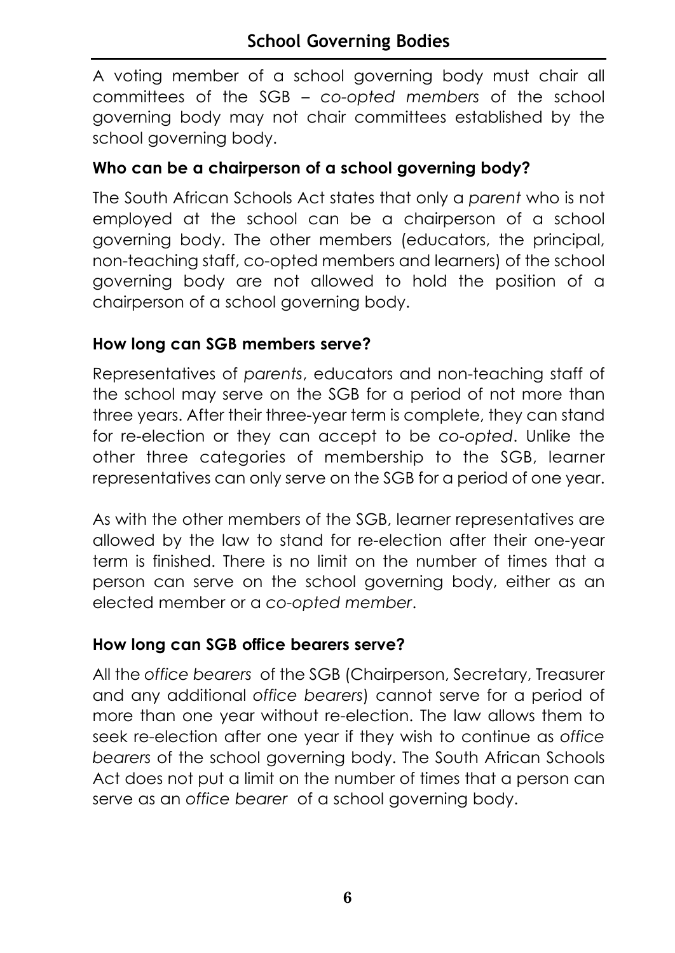A voting member of a school governing body must chair all committees of the SGB – *co-opted members* of the school governing body may not chair committees established by the school governing body.

# **Who can be a chairperson of a school governing body?**

The South African Schools Act states that only a *parent* who is not employed at the school can be a chairperson of a school governing body. The other members (educators, the principal, non-teaching staff, co-opted members and learners) of the school governing body are not allowed to hold the position of a chairperson of a school governing body.

# **How long can SGB members serve?**

Representatives of *parents*, educators and non-teaching staff of the school may serve on the SGB for a period of not more than three years. After their three-year term is complete, they can stand for re-election or they can accept to be *co-opted*. Unlike the other three categories of membership to the SGB, learner representatives can only serve on the SGB for a period of one year.

As with the other members of the SGB, learner representatives are allowed by the law to stand for re-election after their one-year term is finished. There is no limit on the number of times that a person can serve on the school governing body, either as an elected member or a *co-opted member*.

# **How long can SGB office bearers serve?**

All the *office bearers* of the SGB (Chairperson, Secretary, Treasurer and any additional *office bearers*) cannot serve for a period of more than one year without re-election. The law allows them to seek re-election after one year if they wish to continue as *office bearers* of the school governing body. The South African Schools Act does not put a limit on the number of times that a person can serve as an *office bearer* of a school governing body.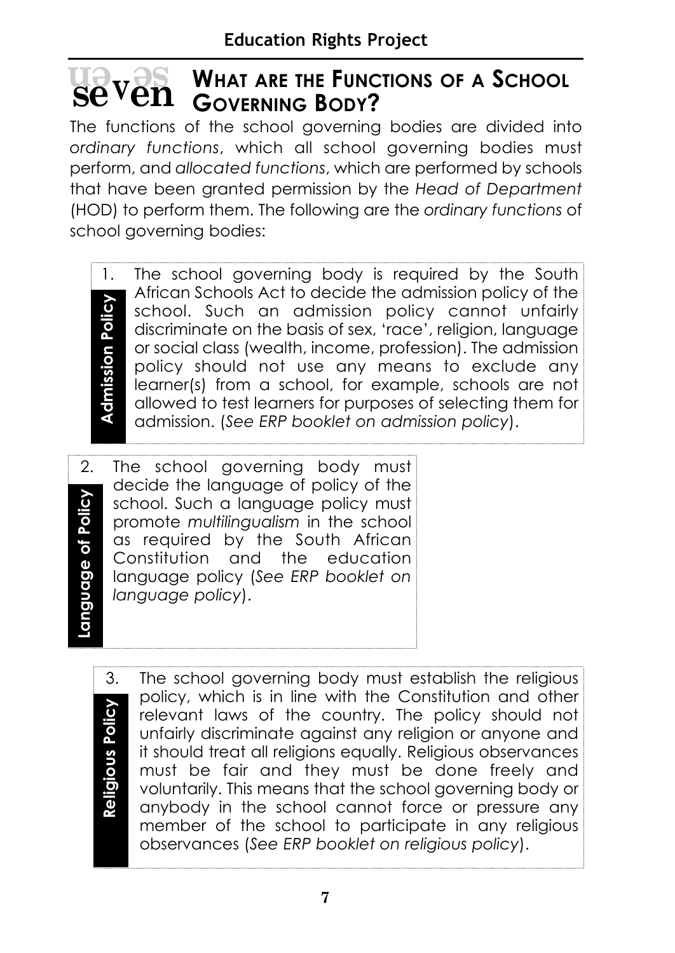# **WHAT ARE THE FUNCTIONS OF A SCHOOL GOVER WHAT ARE THE FUNC SEVEN** GOVERNING BODY?

The functions of the school governing bodies are divided into *ordinary functions*, which all school governing bodies must perform, and *allocated functions*, which are performed by schools that have been granted permission by the *Head of Department* (HOD) to perform them. The following are the *ordinary functions* of school governing bodies:

**Admission Policy Admission Policy**

1. The school governing body is required by the South African Schools Act to decide the admission policy of the school. Such an admission policy cannot unfairly discriminate on the basis of sex, 'race', religion, language or social class (wealth, income, profession). The admission policy should not use any means to exclude any learner(s) from a school, for example, schools are not allowed to test learners for purposes of selecting them for admission. (*See ERP booklet on admission policy*).

Language of Policy **Language of Policy**

2. The school governing body must decide the language of policy of the school. Such a language policy must promote *multilingualism* in the school as required by the South African Constitution and the education language policy (*See ERP booklet on language policy*).

Religious Policy **Religious Policy**

3. The school governing body must establish the religious policy, which is in line with the Constitution and other relevant laws of the country. The policy should not unfairly discriminate against any religion or anyone and it should treat all religions equally. Religious observances must be fair and they must be done freely and voluntarily. This means that the school governing body or anybody in the school cannot force or pressure any member of the school to participate in any religious observances (*See ERP booklet on religious policy*).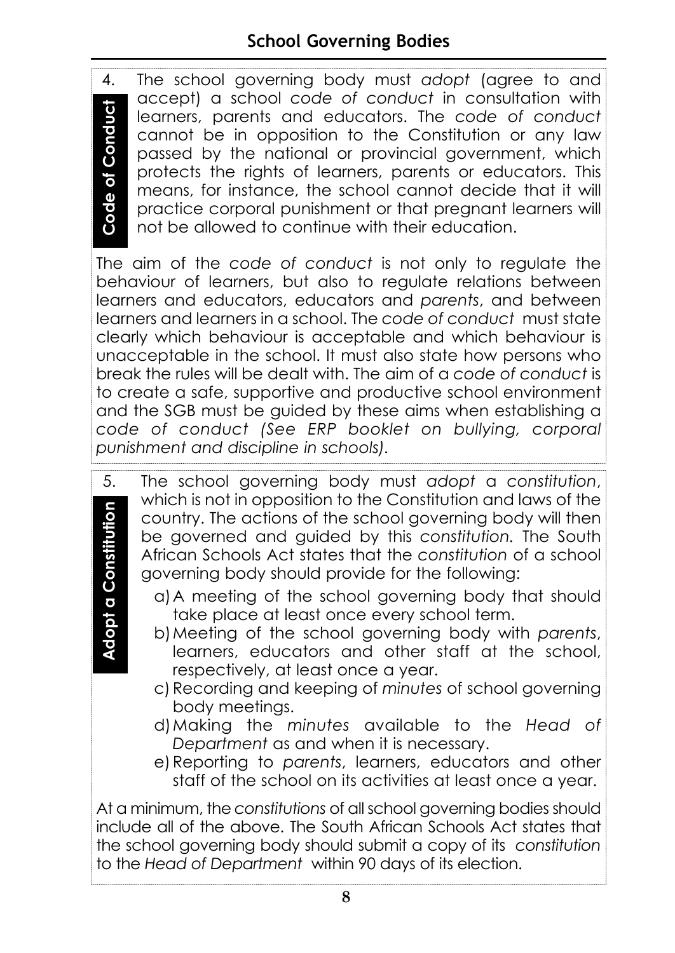# **School Governing Bodies**

4. The school governing body must *adopt* (agree to and accept) a school *code of conduct* in consultation with learners, parents and educators. The *code of conduct* cannot be in opposition to the Constitution or any law passed by the national or provincial government, which protects the rights of learners, parents or educators. This means, for instance, the school cannot decide that it will practice corporal punishment or that pregnant learners will not be allowed to continue with their education.

The aim of the *code of conduct* is not only to regulate the behaviour of learners, but also to regulate relations between learners and educators, educators and *parents*, and between learners and learners in a school. The *code of conduct* must state clearly which behaviour is acceptable and which behaviour is unacceptable in the school. It must also state how persons who break the rules will be dealt with. The aim of a *code of conduct* is to create a safe, supportive and productive school environment and the SGB must be guided by these aims when establishing a *code of conduct (See ERP booklet on bullying, corporal* **punishment and discipline in schools).**<br> **punishment** and educate cannot be in opposition to the passed by the national or pro-<br>
protects the rights of learners,<br>
means, for instance, the school<br>
practice corporal punishm

- 5. The school governing body must *adopt* a *constitution*, which is not in opposition to the Constitution and laws of the country. The actions of the school governing body will then be governed and guided by this *constitution.* The South African Schools Act states that the *constitution* of a school governing body should provide for the following: to the power of the school governing books and suided by this constitution.<br>African Schools Act states that the constitution of governing body should provide for the following:<br>a) A meeting of the school governing body the
	- a)A meeting of the school governing body that should take place at least once every school term.
	- b)Meeting of the school governing body with *parents*, learners, educators and other staff at the school, respectively, at least once a year.
	- c) Recording and keeping of *minutes* of school governing body meetings.
	- d)Making the *minutes* available to the *Head of Department* as and when it is necessary.
	- e) Reporting to *parents*, learners, educators and other staff of the school on its activities at least once a year.

At a minimum, the *constitutions* of all school governing bodies should include all of the above. The South African Schools Act states that the school governing body should submit a copy of its *constitution*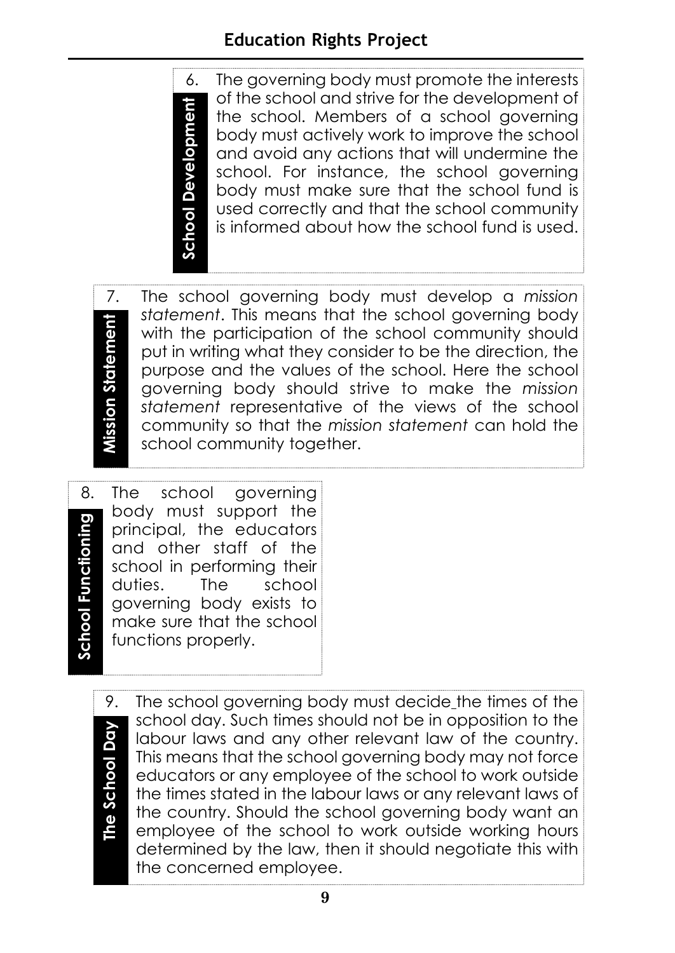# **Education Rights Project**

6. The governing body must promote the interests of the school and strive for the development of the school. Members of a school governing body must actively work to improve the school and avoid any actions that will undermine the school. For instance, the school governing body must make sure that the school fund is used correctly and that the school community is informed about how the school fund is used.

**Mission Statement Mission Statement**

7. The school governing body must develop a *mission statement*. This means that the school governing body with the participation of the school community should put in writing what they consider to be the direction, the purpose and the values of the school. Here the school governing body should strive to make the *mission statement* representative of the views of the school community so that the *mission statement* can hold the school community together.

8. The school governing body must support the **School Functioning School Functioning** principal, the educators and other staff of the school in performing their duties. The school governing body exists to make sure that the school functions properly.

**School Development**

**School Development** 

The School Day **The School Day**

9. The school governing body must decide the times of the school day. Such times should not be in opposition to the labour laws and any other relevant law of the country. This means that the school governing body may not force educators or any employee of the school to work outside the times stated in the labour laws or any relevant laws of the country. Should the school governing body want an employee of the school to work outside working hours determined by the law, then it should negotiate this with the concerned employee.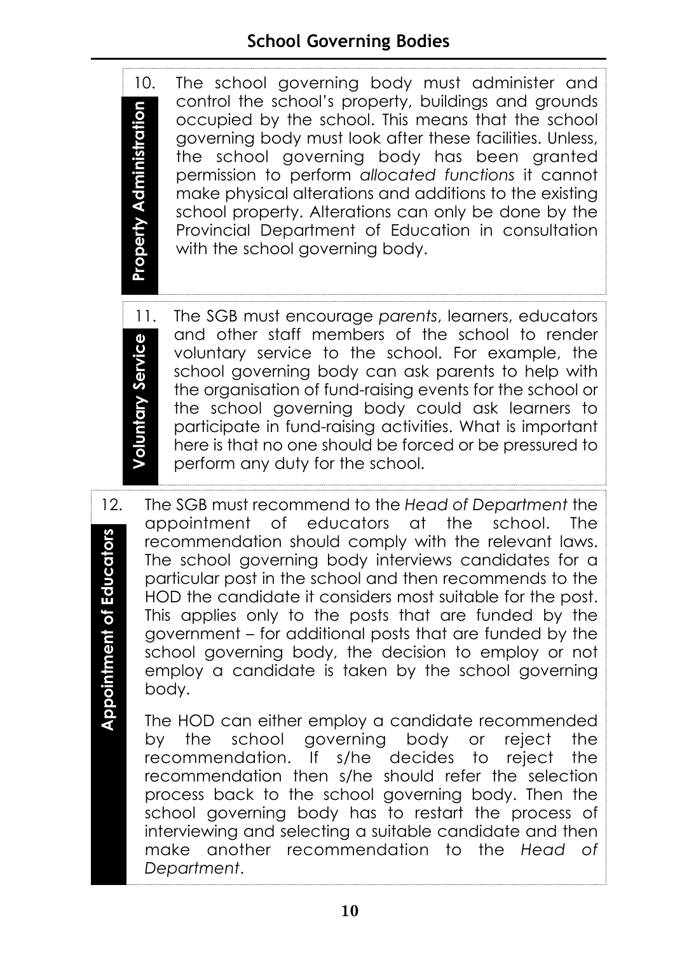10. The school governing body must administer and control the school's property, buildings and grounds **Property Administration Property Administration** occupied by the school. This means that the school governing body must look after these facilities. Unless, the school governing body has been granted permission to perform *allocated functions* it cannot make physical alterations and additions to the existing school property. Alterations can only be done by the Provincial Department of Education in consultation with the school governing body.

- 11. The SGB must encourage *parents*, learners, educators and other staff members of the school to render **Voluntary Service Voluntary Service** voluntary service to the school. For example, the school governing body can ask parents to help with the organisation of fund-raising events for the school or the school governing body could ask learners to participate in fund-raising activities. What is important here is that no one should be forced or be pressured to perform any duty for the school.
- 12. The SGB must recommend to the *Head of Department* the appointment of educators at the school. The **Appointment of Educators Appointment of Educators**recommendation should comply with the relevant laws. The school governing body interviews candidates for a particular post in the school and then recommends to the HOD the candidate it considers most suitable for the post. This applies only to the posts that are funded by the government – for additional posts that are funded by the school governing body, the decision to employ or not employ a candidate is taken by the school governing body.
	- The HOD can either employ a candidate recommended by the school governing body or reject the recommendation. If s/he decides to reject the recommendation then s/he should refer the selection process back to the school governing body. Then the school governing body has to restart the process of interviewing and selecting a suitable candidate and then make another recommendation to the *Head of Department*.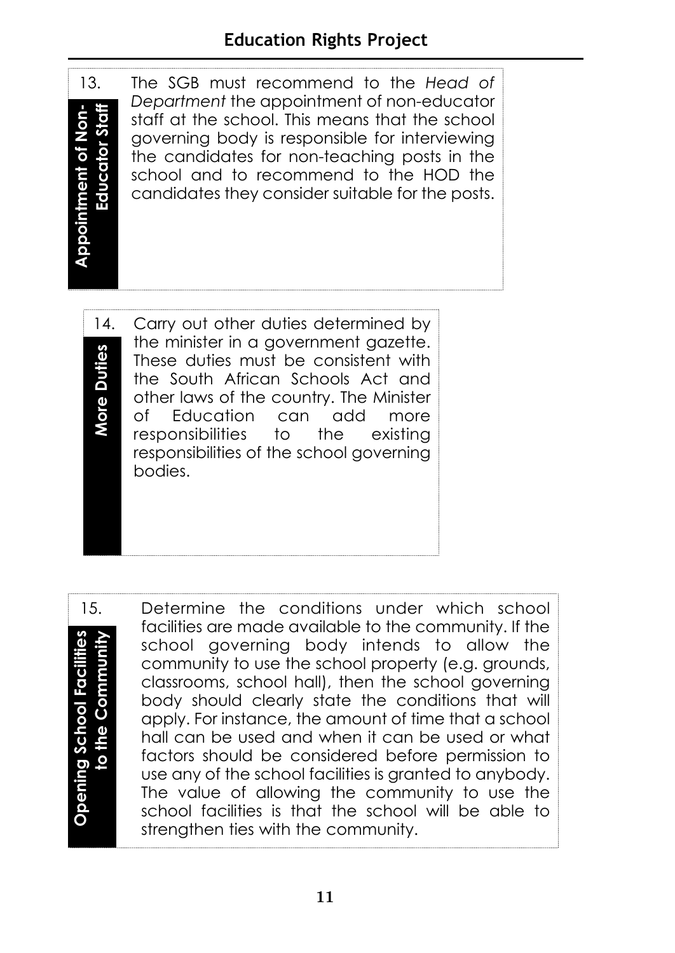**Educator Staff Appointment of Non-**Educator Staff **Appointment of Non** 

13. The SGB must recommend to the *Head of Department* the appointment of non-educator staff at the school. This means that the school governing body is responsible for interviewing the candidates for non-teaching posts in the school and to recommend to the HOD the candidates they consider suitable for the posts.

14. Carry out other duties determined by the minister in a government gazette. **Duties More Duties** These duties must be consistent with the South African Schools Act and More other laws of the country. The Minister of Education can add more responsibilities to the existing responsibilities of the school governing bodies.

**Opening School Facilities to the CommunityOpening School Facilities** to the Communit

15. Determine the conditions under which school facilities are made available to the community. If the school governing body intends to allow the community to use the school property (e.g. grounds, classrooms, school hall), then the school governing body should clearly state the conditions that will apply. For instance, the amount of time that a school hall can be used and when it can be used or what factors should be considered before permission to use any of the school facilities is granted to anybody. The value of allowing the community to use the school facilities is that the school will be able to strengthen ties with the community.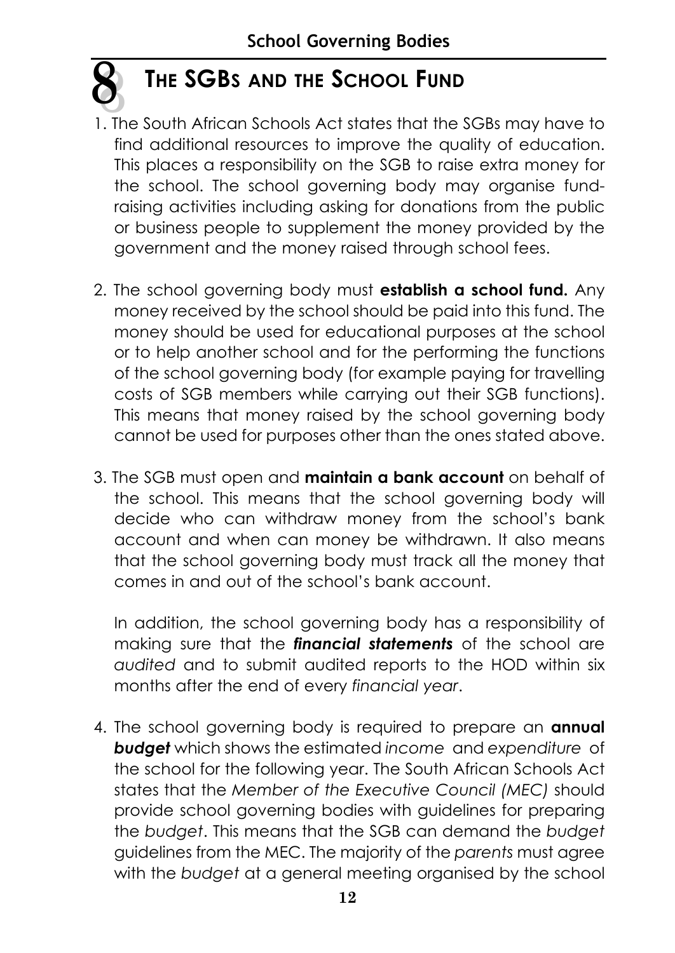

# **THE SGBS AND THE SCHOOL FUND**

- 1. The South African Schools Act states that the SGBs may have to find additional resources to improve the quality of education. This places a responsibility on the SGB to raise extra money for the school. The school governing body may organise fundraising activities including asking for donations from the public or business people to supplement the money provided by the government and the money raised through school fees.
- 2. The school governing body must **establish a school fund.** Any money received by the school should be paid into this fund. The money should be used for educational purposes at the school or to help another school and for the performing the functions of the school governing body (for example paying for travelling costs of SGB members while carrying out their SGB functions). This means that money raised by the school governing body cannot be used for purposes other than the ones stated above.
- 3. The SGB must open and **maintain a bank account** on behalf of the school. This means that the school governing body will decide who can withdraw money from the school's bank account and when can money be withdrawn. It also means that the school governing body must track all the money that comes in and out of the school's bank account.

In addition, the school governing body has a responsibility of making sure that the *financial statements* of the school are *audited* and to submit audited reports to the HOD within six months after the end of every *financial year*.

4. The school governing body is required to prepare an **annual** *budget* which shows the estimated *income* and *expenditure* of the school for the following year. The South African Schools Act states that the *Member of the Executive Council (MEC)* should provide school governing bodies with guidelines for preparing the *budget*. This means that the SGB can demand the *budget* guidelines from the MEC. The majority of the *parents* must agree with the *budget* at a general meeting organised by the school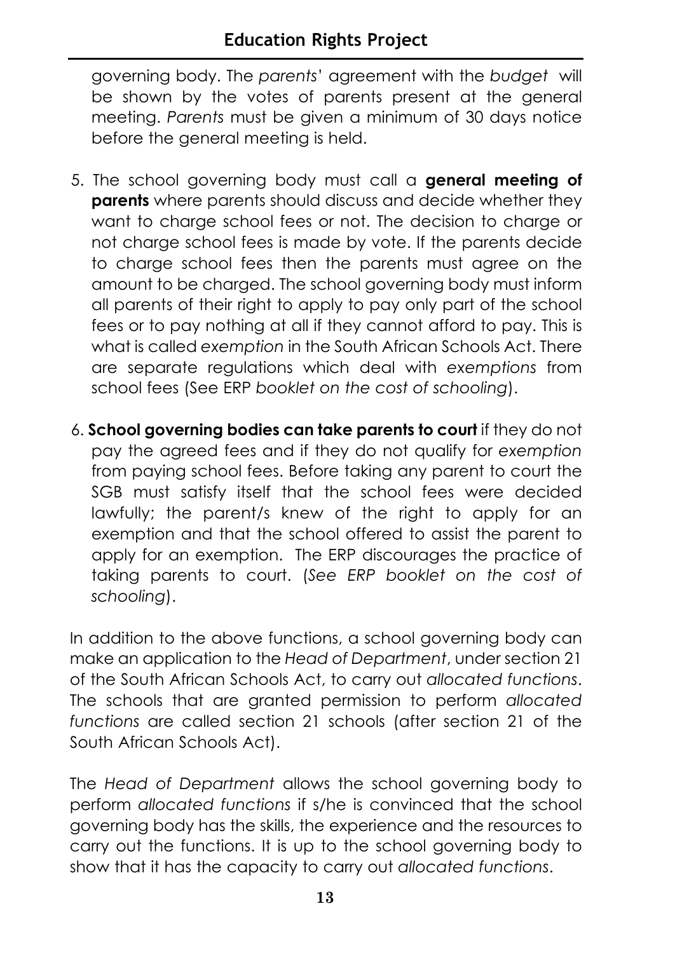governing body. The *parents*' agreement with the *budget* will be shown by the votes of parents present at the general meeting. *Parents* must be given a minimum of 30 days notice before the general meeting is held.

- 5. The school governing body must call a **general meeting of parents** where parents should discuss and decide whether they want to charge school fees or not. The decision to charge or not charge school fees is made by vote. If the parents decide to charge school fees then the parents must agree on the amount to be charged. The school governing body must inform all parents of their right to apply to pay only part of the school fees or to pay nothing at all if they cannot afford to pay. This is what is called *exemption* in the South African Schools Act. There are separate regulations which deal with *exemptions* from school fees (See ERP *booklet on the cost of schooling*).
- 6. **School governing bodies can take parents to court** if they do not pay the agreed fees and if they do not qualify for *exemption* from paying school fees. Before taking any parent to court the SGB must satisfy itself that the school fees were decided lawfully; the parent/s knew of the right to apply for an exemption and that the school offered to assist the parent to apply for an exemption. The ERP discourages the practice of taking parents to court. (*See ERP booklet on the cost of schooling*).

In addition to the above functions, a school governing body can make an application to the *Head of Department*, under section 21 of the South African Schools Act, to carry out *allocated functions*. The schools that are granted permission to perform *allocated functions* are called section 21 schools (after section 21 of the South African Schools Act).

The *Head of Department* allows the school governing body to perform *allocated functions* if s/he is convinced that the school governing body has the skills, the experience and the resources to carry out the functions. It is up to the school governing body to show that it has the capacity to carry out *allocated functions*.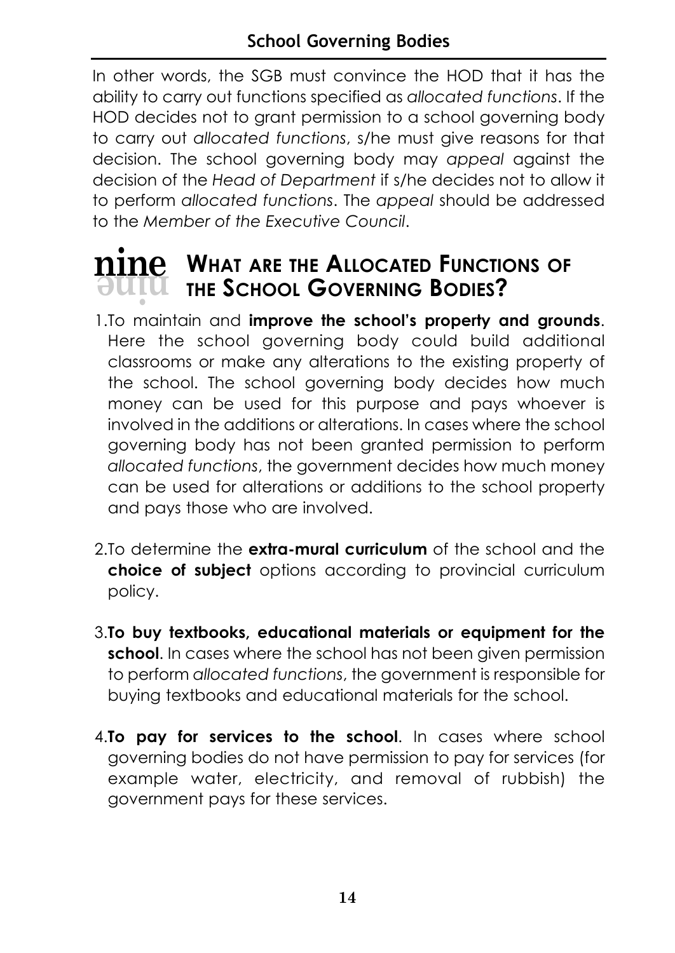In other words, the SGB must convince the HOD that it has the ability to carry out functions specified as *allocated functions*. If the HOD decides not to grant permission to a school governing body to carry out *allocated functions*, s/he must give reasons for that decision. The school governing body may *appeal* against the decision of the *Head of Department* if s/he decides not to allow it to perform *allocated functions*. The *appeal* should be addressed to the *Member of the Executive Council*.

# $\overline{\text{M}}$  **WHAT ARE THE ALLOCATED FUNCTIONS OF**<br> **NUTLE** THE SCHOOL GOVERNING BODIES? **THE SCHOOL GOVERNING BODIES?**

- 1.To maintain and **improve the school's property and grounds**. Here the school governing body could build additional classrooms or make any alterations to the existing property of the school. The school governing body decides how much money can be used for this purpose and pays whoever is involved in the additions or alterations. In cases where the school governing body has not been granted permission to perform *allocated functions*, the government decides how much money can be used for alterations or additions to the school property and pays those who are involved.
- 2.To determine the **extra-mural curriculum** of the school and the **choice of subject** options according to provincial curriculum policy.
- 3.**To buy textbooks, educational materials or equipment for the school**. In cases where the school has not been given permission to perform *allocated functions*, the government is responsible for buying textbooks and educational materials for the school.
- 4.**To pay for services to the school**. In cases where school governing bodies do not have permission to pay for services (for example water, electricity, and removal of rubbish) the government pays for these services.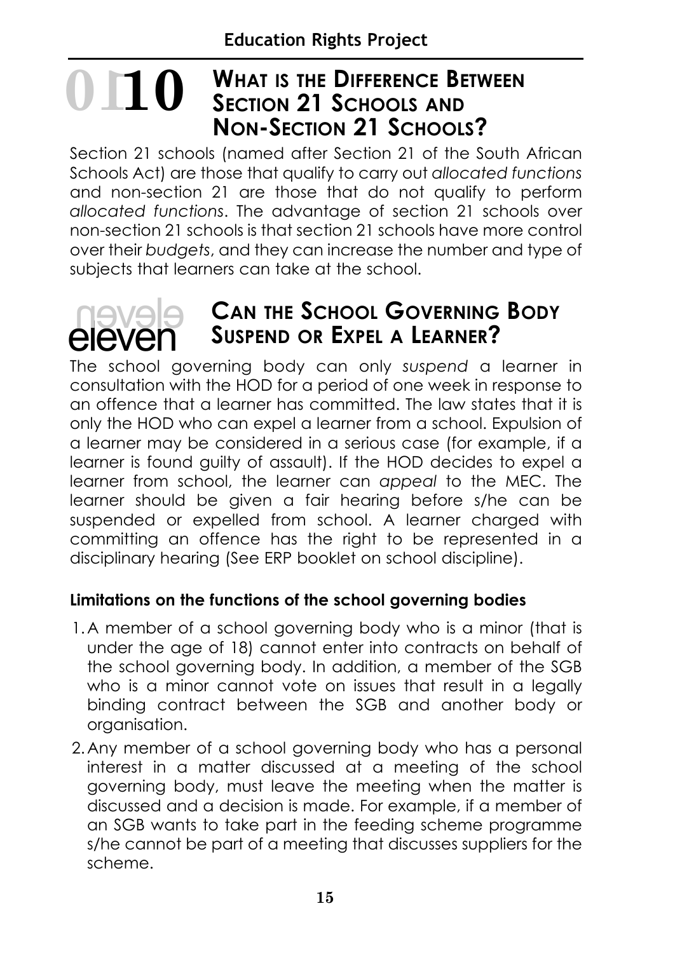# **WHAT IS THE DIFFERENCE BETWEEN SECTION 21 SCHOOLS AND NON-SECTION 21 SCHOOLS? 1010**

Section 21 schools (named after Section 21 of the South African Schools Act) are those that qualify to carry out *allocated functions* and non-section 21 are those that do not qualify to perform *allocated functions*. The advantage of section 21 schools over non-section 21 schools is that section 21 schools have more control over their *budgets*, and they can increase the number and type of subjects that learners can take at the school.

# eleven

# **CAN THE SCHOOL GOVERNING BODY SUSPEND OR EXPEL A LEARNER?**

The school governing body can only *suspend* a learner in consultation with the HOD for a period of one week in response to an offence that a learner has committed. The law states that it is only the HOD who can expel a learner from a school. Expulsion of a learner may be considered in a serious case (for example, if a learner is found guilty of assault). If the HOD decides to expel a learner from school, the learner can *appeal* to the MEC. The learner should be given a fair hearing before s/he can be suspended or expelled from school. A learner charged with committing an offence has the right to be represented in a disciplinary hearing (See ERP booklet on school discipline).

# **Limitations on the functions of the school governing bodies**

- 1.A member of a school governing body who is a minor (that is under the age of 18) cannot enter into contracts on behalf of the school governing body. In addition, a member of the SGB who is a minor cannot vote on issues that result in a legally binding contract between the SGB and another body or organisation.
- 2.Any member of a school governing body who has a personal interest in a matter discussed at a meeting of the school governing body, must leave the meeting when the matter is discussed and a decision is made. For example, if a member of an SGB wants to take part in the feeding scheme programme s/he cannot be part of a meeting that discusses suppliers for the scheme.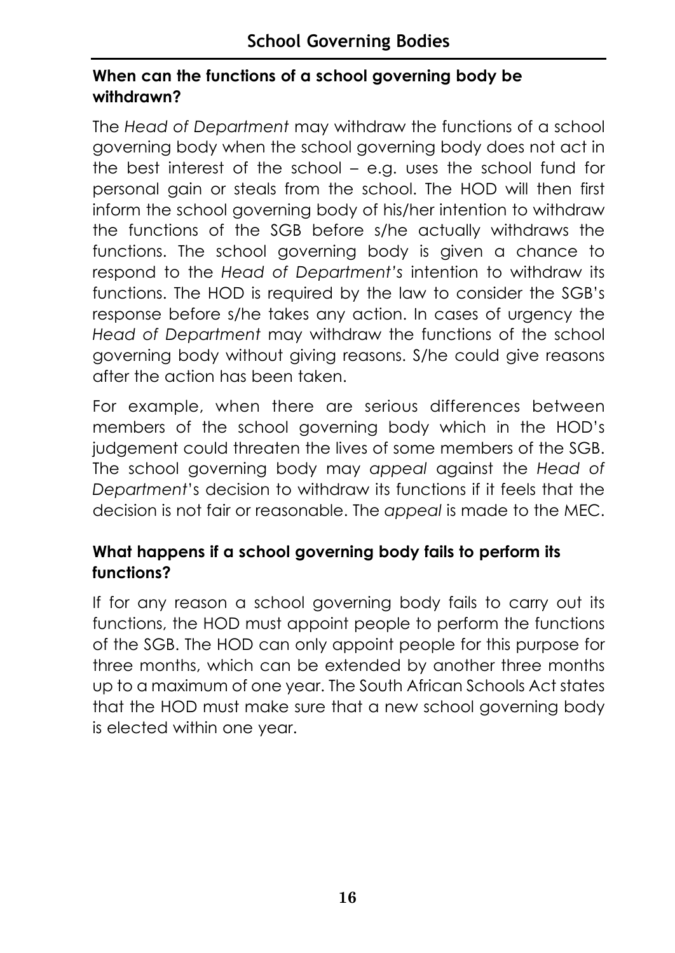# **When can the functions of a school governing body be withdrawn?**

The *Head of Department* may withdraw the functions of a school governing body when the school governing body does not act in the best interest of the school – e.g. uses the school fund for personal gain or steals from the school. The HOD will then first inform the school governing body of his/her intention to withdraw the functions of the SGB before s/he actually withdraws the functions. The school governing body is given a chance to respond to the *Head of Department's* intention to withdraw its functions. The HOD is required by the law to consider the SGB's response before s/he takes any action. In cases of urgency the *Head of Department* may withdraw the functions of the school governing body without giving reasons. S/he could give reasons after the action has been taken.

For example, when there are serious differences between members of the school governing body which in the HOD's judgement could threaten the lives of some members of the SGB. The school governing body may *appeal* against the *Head of Department*'s decision to withdraw its functions if it feels that the decision is not fair or reasonable. The *appeal* is made to the MEC.

# **What happens if a school governing body fails to perform its functions?**

If for any reason a school governing body fails to carry out its functions, the HOD must appoint people to perform the functions of the SGB. The HOD can only appoint people for this purpose for three months, which can be extended by another three months up to a maximum of one year. The South African Schools Act states that the HOD must make sure that a new school governing body is elected within one year.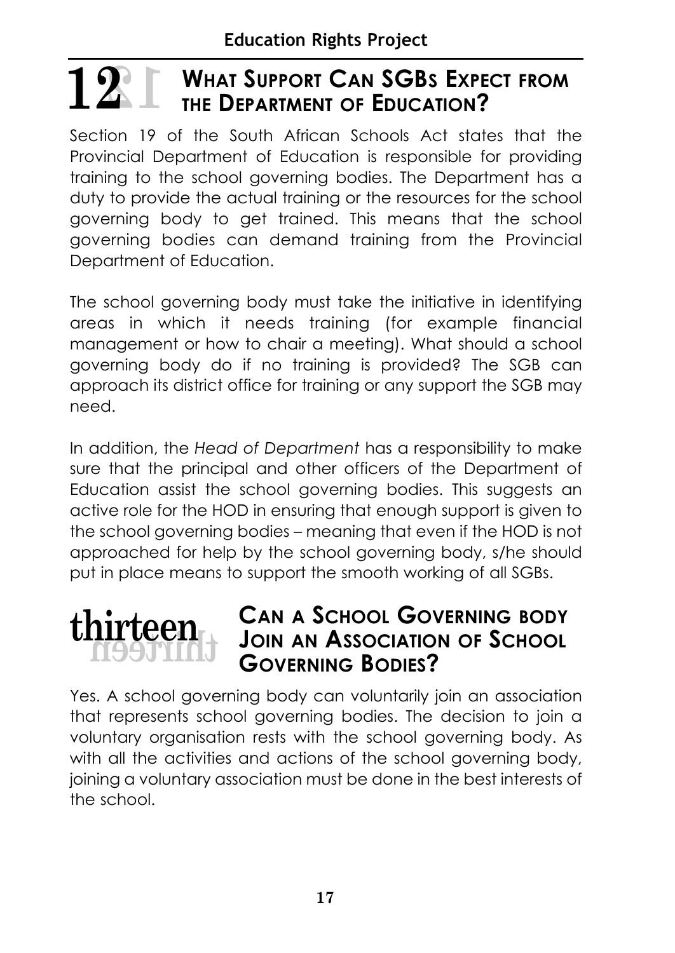### **WHAT SUPPORT CAN SGBS EXPECT FROM THE DEPARTMENT OF EDUCATION? 12 12**

Section 19 of the South African Schools Act states that the Provincial Department of Education is responsible for providing training to the school governing bodies. The Department has a duty to provide the actual training or the resources for the school governing body to get trained. This means that the school governing bodies can demand training from the Provincial Department of Education.

The school governing body must take the initiative in identifying areas in which it needs training (for example financial management or how to chair a meeting). What should a school governing body do if no training is provided? The SGB can approach its district office for training or any support the SGB may need.

In addition, the *Head of Department* has a responsibility to make sure that the principal and other officers of the Department of Education assist the school governing bodies. This suggests an active role for the HOD in ensuring that enough support is given to the school governing bodies – meaning that even if the HOD is not approached for help by the school governing body, s/he should put in place means to support the smooth working of all SGBs.



# **CAN A SCHOOL GOVERNING BODY JOIN AN ASSOCIATION OF SCHOOL GOVERNING BODIES?**

Yes. A school governing body can voluntarily join an association that represents school governing bodies. The decision to join a voluntary organisation rests with the school governing body. As with all the activities and actions of the school governing body, joining a voluntary association must be done in the best interests of the school.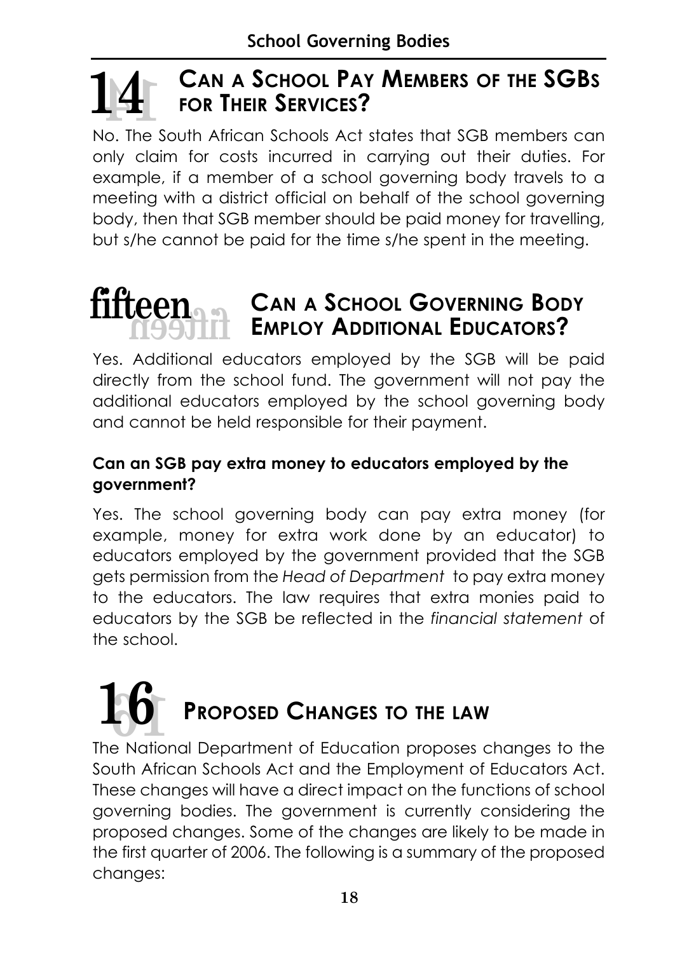# **CAN A SCHOOL PAY MEMBERS OF THE SGBS FOR THEIR SERVICES? 14 14**

No. The South African Schools Act states that SGB members can only claim for costs incurred in carrying out their duties. For example, if a member of a school governing body travels to a meeting with a district official on behalf of the school governing body, then that SGB member should be paid money for travelling, but s/he cannot be paid for the time s/he spent in the meeting.

# **CAN A SCHOOL GOVERNING BODY EMPLOY ADDITIONAL EDUCATORS? fifteen fifteen**

Yes. Additional educators employed by the SGB will be paid directly from the school fund. The government will not pay the additional educators employed by the school governing body and cannot be held responsible for their payment.

# **Can an SGB pay extra money to educators employed by the government?**

Yes. The school governing body can pay extra money (for example, money for extra work done by an educator) to educators employed by the government provided that the SGB gets permission from the *Head of Department* to pay extra money to the educators. The law requires that extra monies paid to educators by the SGB be reflected in the *financial statement* of the school.

# **PROPOSED CHANGES TO THE LAW 16 16**

The National Department of Education proposes changes to the South African Schools Act and the Employment of Educators Act. These changes will have a direct impact on the functions of school governing bodies. The government is currently considering the proposed changes. Some of the changes are likely to be made in the first quarter of 2006. The following is a summary of the proposed changes: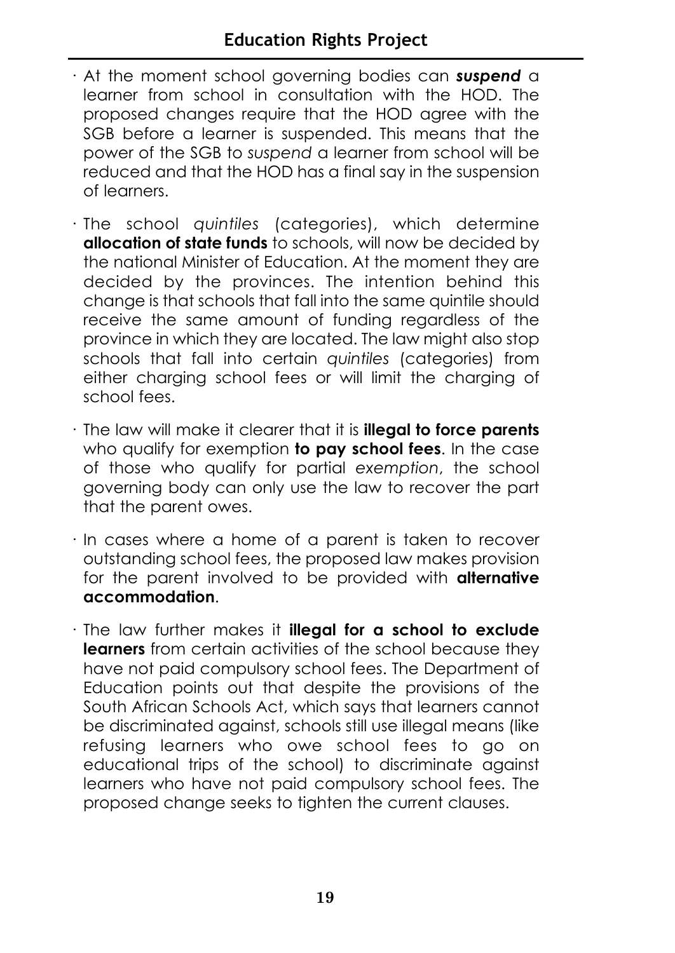- · At the moment school governing bodies can *suspend* a learner from school in consultation with the HOD. The proposed changes require that the HOD agree with the SGB before a learner is suspended. This means that the power of the SGB to *suspend* a learner from school will be reduced and that the HOD has a final say in the suspension of learners.
- · The school *quintiles* (categories), which determine **allocation of state funds** to schools, will now be decided by the national Minister of Education. At the moment they are decided by the provinces. The intention behind this change is that schools that fall into the same quintile should receive the same amount of funding regardless of the province in which they are located. The law might also stop schools that fall into certain *quintiles* (categories) from either charging school fees or will limit the charging of school fees.
- · The law will make it clearer that it is **illegal to force parents** who qualify for exemption **to pay school fees**. In the case of those who qualify for partial *exemption*, the school governing body can only use the law to recover the part that the parent owes.
- · In cases where a home of a parent is taken to recover outstanding school fees, the proposed law makes provision for the parent involved to be provided with **alternative accommodation**.
- · The law further makes it **illegal for a school to exclude learners** from certain activities of the school because they have not paid compulsory school fees. The Department of Education points out that despite the provisions of the South African Schools Act, which says that learners cannot be discriminated against, schools still use illegal means (like refusing learners who owe school fees to go on educational trips of the school) to discriminate against learners who have not paid compulsory school fees. The proposed change seeks to tighten the current clauses.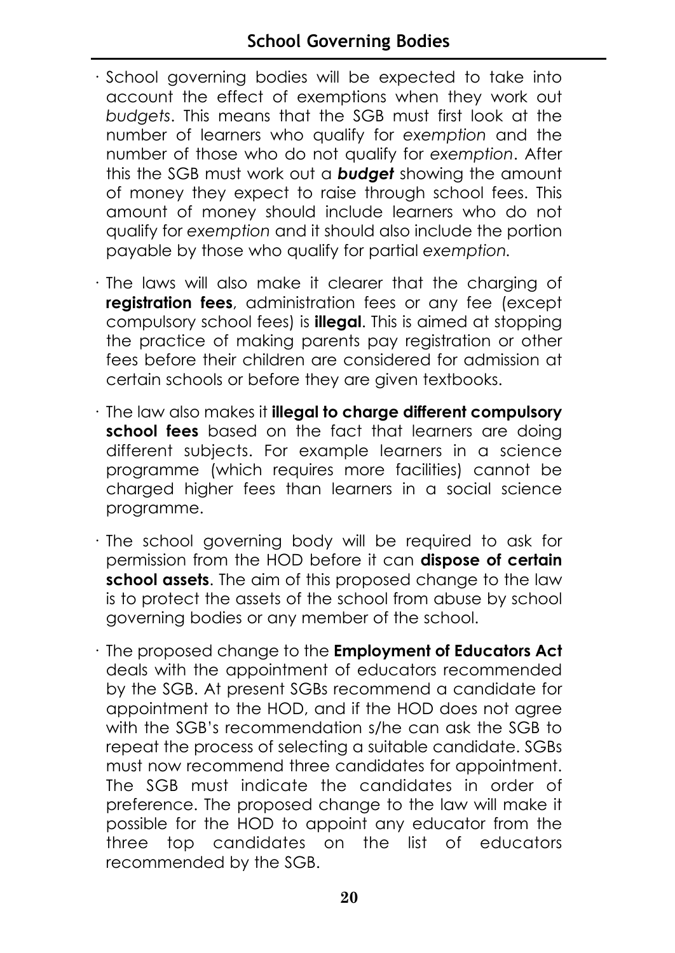- · School governing bodies will be expected to take into account the effect of exemptions when they work out *budgets*. This means that the SGB must first look at the number of learners who qualify for *exemption* and the number of those who do not qualify for *exemption*. After this the SGB must work out a *budget* showing the amount of money they expect to raise through school fees. This amount of money should include learners who do not qualify for *exemption* and it should also include the portion payable by those who qualify for partial *exemption.*
- · The laws will also make it clearer that the charging of **registration fees**, administration fees or any fee (except compulsory school fees) is **illegal**. This is aimed at stopping the practice of making parents pay registration or other fees before their children are considered for admission at certain schools or before they are given textbooks.
- · The law also makes it **illegal to charge different compulsory school fees** based on the fact that learners are doing different subjects. For example learners in a science programme (which requires more facilities) cannot be charged higher fees than learners in a social science programme.
- · The school governing body will be required to ask for permission from the HOD before it can **dispose of certain school assets**. The aim of this proposed change to the law is to protect the assets of the school from abuse by school governing bodies or any member of the school.
- · The proposed change to the **Employment of Educators Act** deals with the appointment of educators recommended by the SGB. At present SGBs recommend a candidate for appointment to the HOD, and if the HOD does not agree with the SGB's recommendation s/he can ask the SGB to repeat the process of selecting a suitable candidate. SGBs must now recommend three candidates for appointment. The SGB must indicate the candidates in order of preference. The proposed change to the law will make it possible for the HOD to appoint any educator from the three top candidates on the list of educators recommended by the SGB.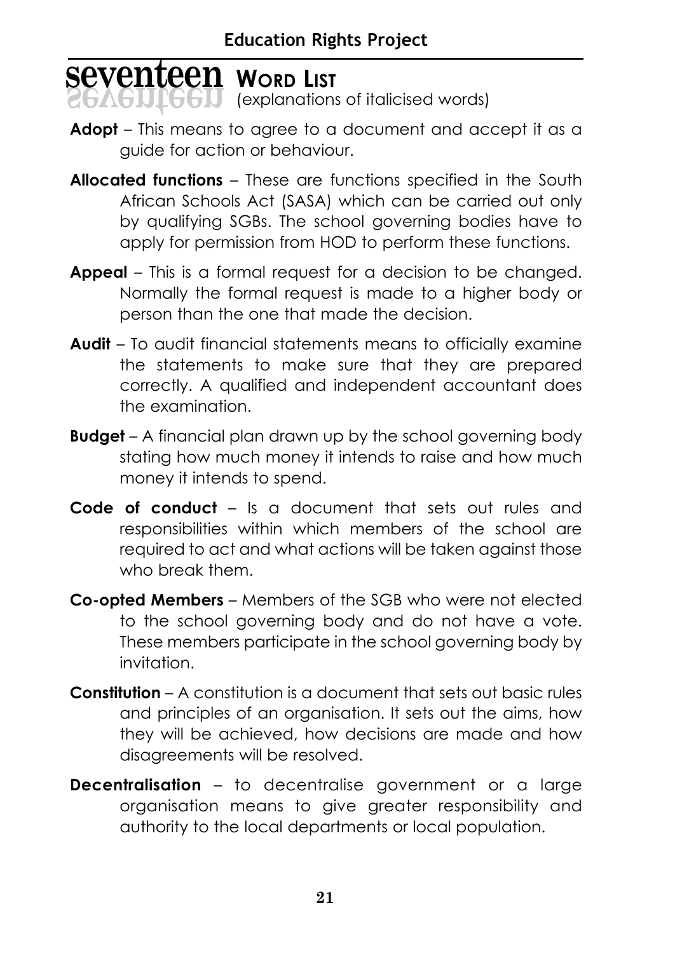# **Seventeen WORD** LIST

 $GGU$  (explanations of italicised words)

- **Adopt**  This means to agree to a document and accept it as a guide for action or behaviour.
- **Allocated functions**  These are functions specified in the South African Schools Act (SASA) which can be carried out only by qualifying SGBs. The school governing bodies have to apply for permission from HOD to perform these functions.
- **Appeal**  This is a formal request for a decision to be changed. Normally the formal request is made to a higher body or person than the one that made the decision.
- **Audit**  To audit financial statements means to officially examine the statements to make sure that they are prepared correctly. A qualified and independent accountant does the examination.
- **Budget**  A financial plan drawn up by the school governing body stating how much money it intends to raise and how much money it intends to spend.
- **Code of conduct**  Is a document that sets out rules and responsibilities within which members of the school are required to act and what actions will be taken against those who break them.
- **Co-opted Members** Members of the SGB who were not elected to the school governing body and do not have a vote. These members participate in the school governing body by invitation.
- **Constitution**  A constitution is a document that sets out basic rules and principles of an organisation. It sets out the aims, how they will be achieved, how decisions are made and how disagreements will be resolved.
- **Decentralisation** to decentralise government or a large organisation means to give greater responsibility and authority to the local departments or local population.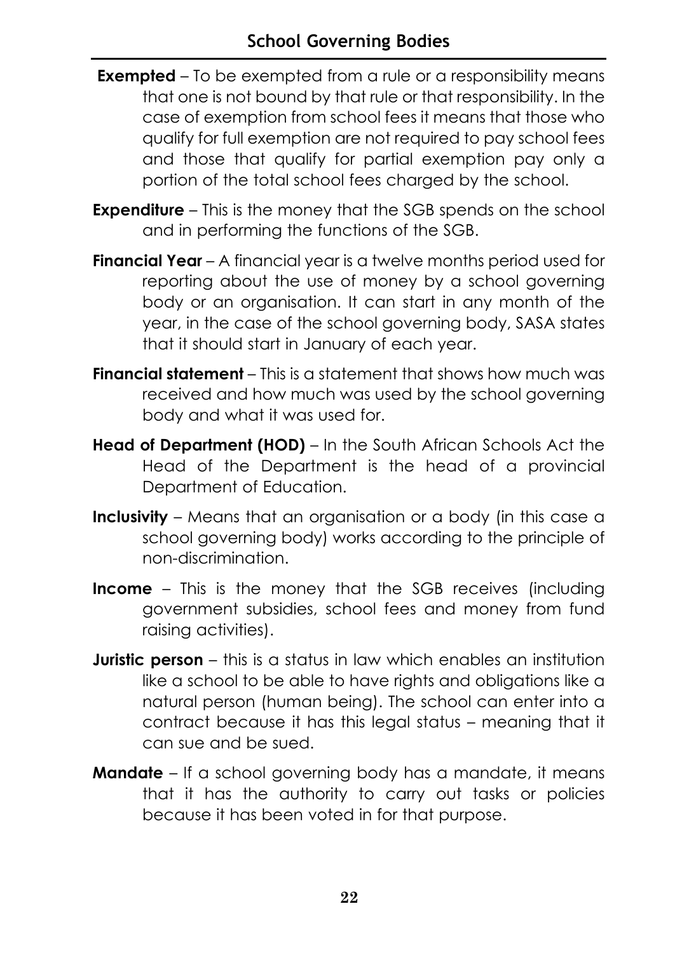- **Exempted** To be exempted from a rule or a responsibility means that one is not bound by that rule or that responsibility. In the case of exemption from school fees it means that those who qualify for full exemption are not required to pay school fees and those that qualify for partial exemption pay only a portion of the total school fees charged by the school.
- **Expenditure** This is the money that the SGB spends on the school and in performing the functions of the SGB.
- **Financial Year**  A financial year is a twelve months period used for reporting about the use of money by a school governing body or an organisation. It can start in any month of the year, in the case of the school governing body, SASA states that it should start in January of each year.
- **Financial statement** This is a statement that shows how much was received and how much was used by the school governing body and what it was used for.
- **Head of Department (HOD)** In the South African Schools Act the Head of the Department is the head of a provincial Department of Education.
- **Inclusivity**  Means that an organisation or a body (in this case a school governing body) works according to the principle of non-discrimination.
- **Income** This is the money that the SGB receives (including government subsidies, school fees and money from fund raising activities).
- **Juristic person** this is a status in law which enables an institution like a school to be able to have rights and obligations like a natural person (human being). The school can enter into a contract because it has this legal status – meaning that it can sue and be sued.
- **Mandate** If a school governing body has a mandate, it means that it has the authority to carry out tasks or policies because it has been voted in for that purpose.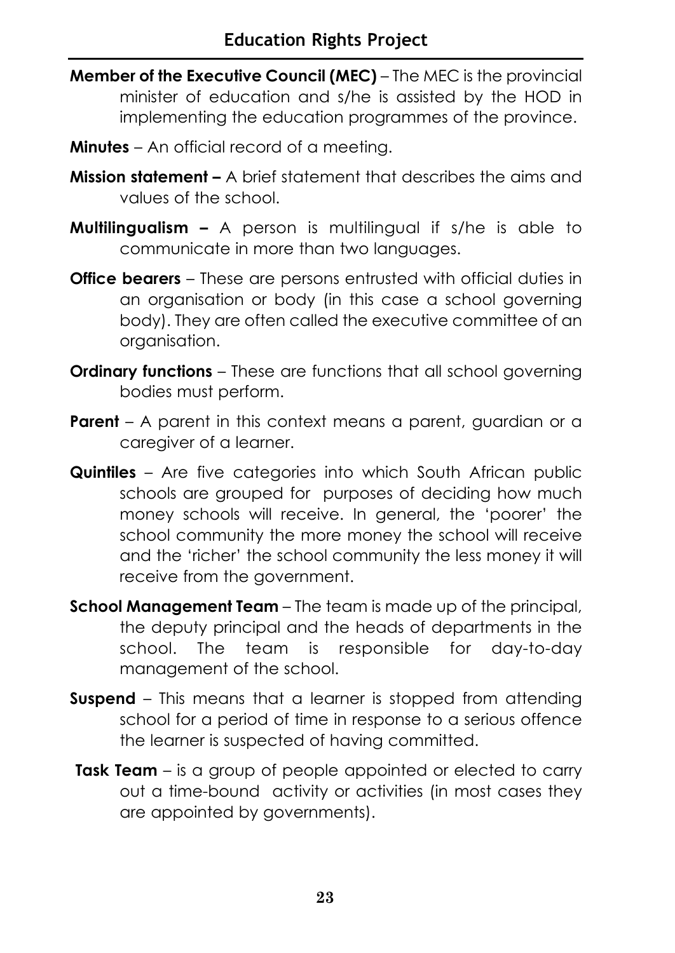- **Member of the Executive Council (MEC)** The MEC is the provincial minister of education and s/he is assisted by the HOD in implementing the education programmes of the province.
- **Minutes**  An official record of a meeting.
- **Mission statement** A brief statement that describes the aims and values of the school.
- **Multilingualism –** A person is multilingual if s/he is able to communicate in more than two languages.
- **Office bearers** These are persons entrusted with official duties in an organisation or body (in this case a school governing body). They are often called the executive committee of an organisation.
- **Ordinary functions** These are functions that all school governing bodies must perform.
- **Parent** A parent in this context means a parent, guardian or a caregiver of a learner.
- **Quintiles** Are five categories into which South African public schools are grouped for purposes of deciding how much money schools will receive. In general, the 'poorer' the school community the more money the school will receive and the 'richer' the school community the less money it will receive from the government.
- **School Management Team** The team is made up of the principal, the deputy principal and the heads of departments in the school. The team is responsible for day-to-day management of the school.
- **Suspend** This means that a learner is stopped from attending school for a period of time in response to a serious offence the learner is suspected of having committed.
- **Task Team**  is a group of people appointed or elected to carry out a time-bound activity or activities (in most cases they are appointed by governments).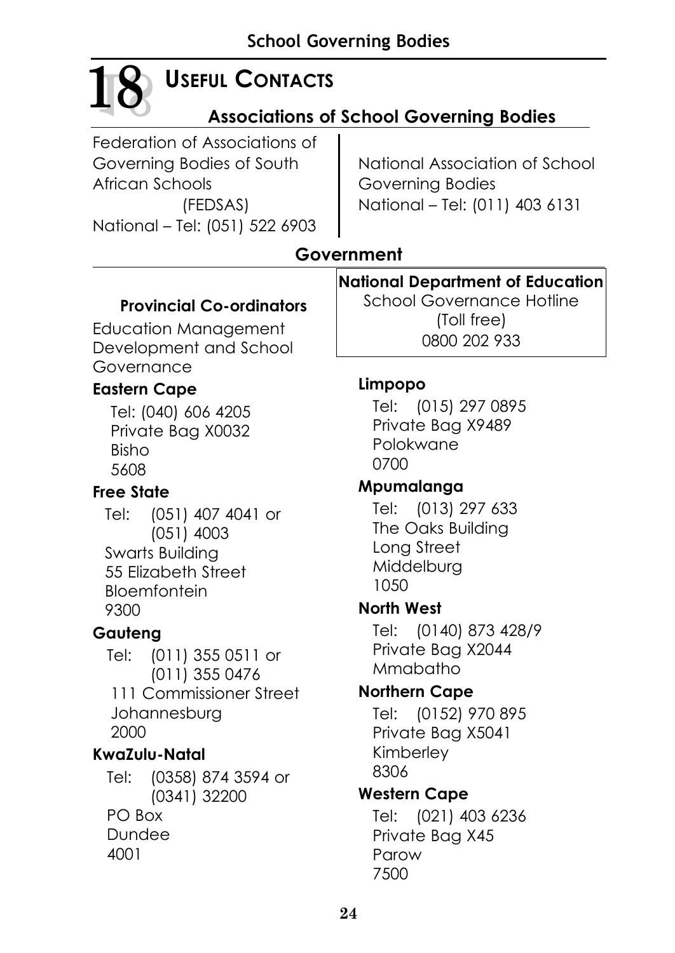# **18 18**

# **USEFUL CONTACTS**

# **Associations of School Governing Bodies**

Federation of Associations of Governing Bodies of South African Schools (FEDSAS) National – Tel: (051) 522 6903

National Association of School Governing Bodies National – Tel: (011) 403 6131

# **Government**

# **Provincial Co-ordinators**

Education Management Development and School Governance

# **Eastern Cape**

Tel: (040) 606 4205 Private Bag X0032 Bisho 5608

# **Free State**

Tel: (051) 407 4041 or (051) 4003 Swarts Building 55 Elizabeth Street Bloemfontein 9300

# **Gauteng**

Tel: (011) 355 0511 or (011) 355 0476 111 Commissioner Street Johannesburg 2000

# **KwaZulu-Natal**

Tel: (0358) 874 3594 or (0341) 32200 PO Box Dundee 4001

**National Department of Education**

School Governance Hotline (Toll free) 0800 202 933

# **Limpopo**

Tel: (015) 297 0895 Private Bag X9489 Polokwane 0700

# **Mpumalanga**

Tel: (013) 297 633 The Oaks Building Long Street Middelburg 1050

# **North West**

Tel: (0140) 873 428/9 Private Bag X2044 Mmabatho

# **Northern Cape**

Tel: (0152) 970 895 Private Bag X5041 Kimberley 8306

# **Western Cape**

Tel: (021) 403 6236 Private Bag X45 Parow 7500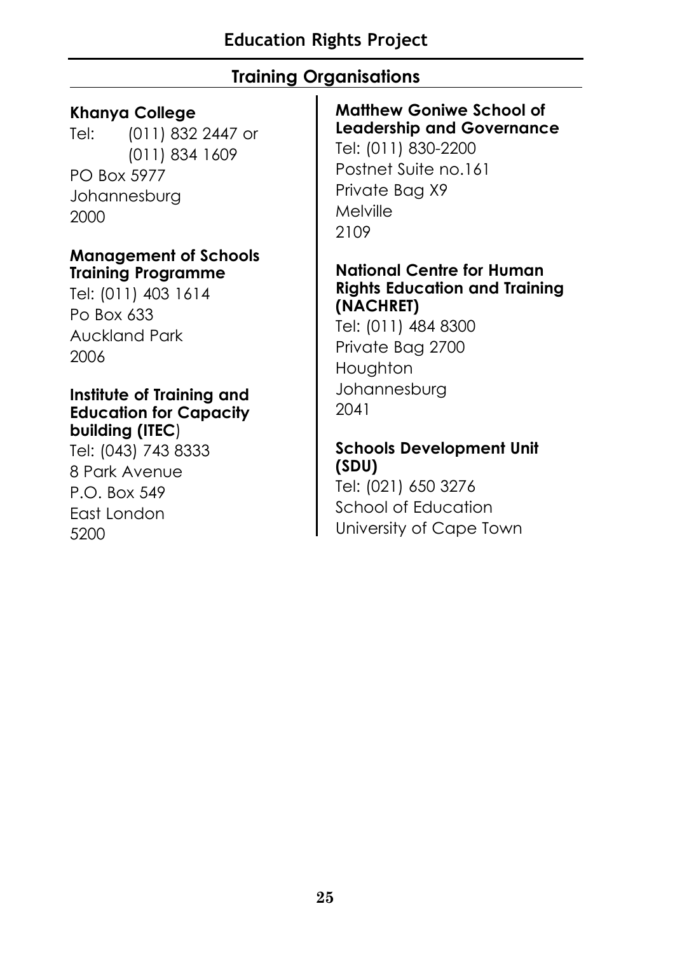# **Training Organisations**

# **Khanya College**

Tel: (011) 832 2447 or (011) 834 1609 PO Box 5977 Johannesburg 2000

### **Management of Schools Training Programme**

Tel: (011) 403 1614 Po Box 633 Auckland Park 2006

### **Institute of Training and Education for Capacity building (ITEC**)

Tel: (043) 743 8333 8 Park Avenue P.O. Box 549 East London 5200

# **Matthew Goniwe School of Leadership and Governance**

Tel: (011) 830-2200 Postnet Suite no.161 Private Bag X9 Melville 2109

## **National Centre for Human Rights Education and Training (NACHRET)**

Tel: (011) 484 8300 Private Bag 2700 Houghton Johannesburg 2041

# **Schools Development Unit (SDU)**

Tel: (021) 650 3276 School of Education University of Cape Town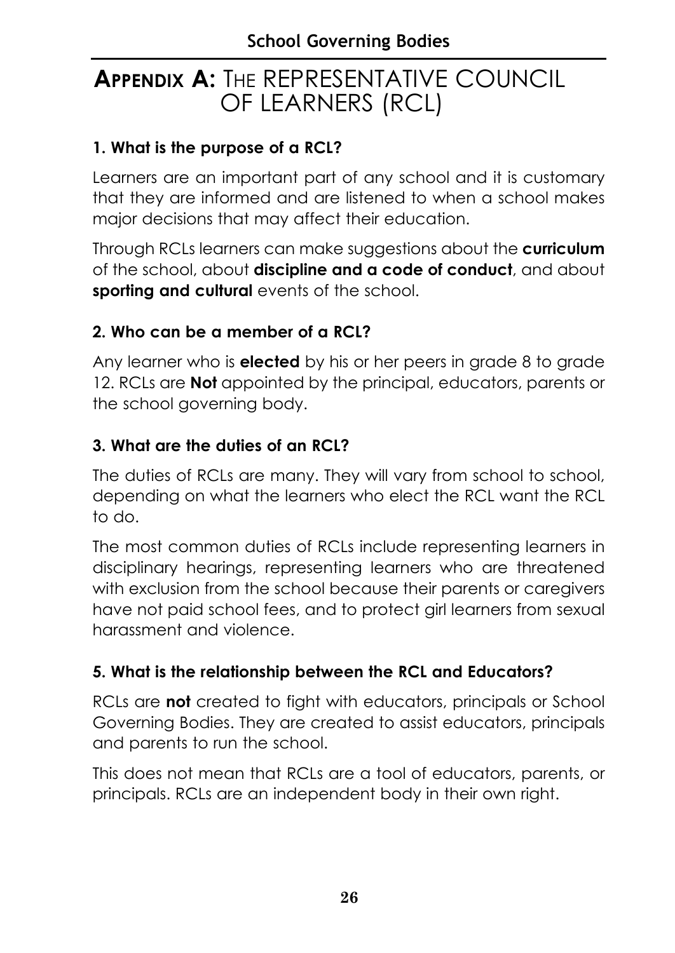# **APPENDIX A:** THE REPRESENTATIVE COUNCIL OF LEARNERS (RCL)

# **1. What is the purpose of a RCL?**

Learners are an important part of any school and it is customary that they are informed and are listened to when a school makes major decisions that may affect their education.

Through RCLs learners can make suggestions about the **curriculum** of the school, about **discipline and a code of conduct**, and about **sporting and cultural** events of the school.

# **2. Who can be a member of a RCL?**

Any learner who is **elected** by his or her peers in grade 8 to grade 12. RCLs are **Not** appointed by the principal, educators, parents or the school governing body.

# **3. What are the duties of an RCL?**

The duties of RCLs are many. They will vary from school to school, depending on what the learners who elect the RCL want the RCL to do.

The most common duties of RCLs include representing learners in disciplinary hearings, representing learners who are threatened with exclusion from the school because their parents or caregivers have not paid school fees, and to protect girl learners from sexual harassment and violence.

# **5. What is the relationship between the RCL and Educators?**

RCLs are **not** created to fight with educators, principals or School Governing Bodies. They are created to assist educators, principals and parents to run the school.

This does not mean that RCLs are a tool of educators, parents, or principals. RCLs are an independent body in their own right.